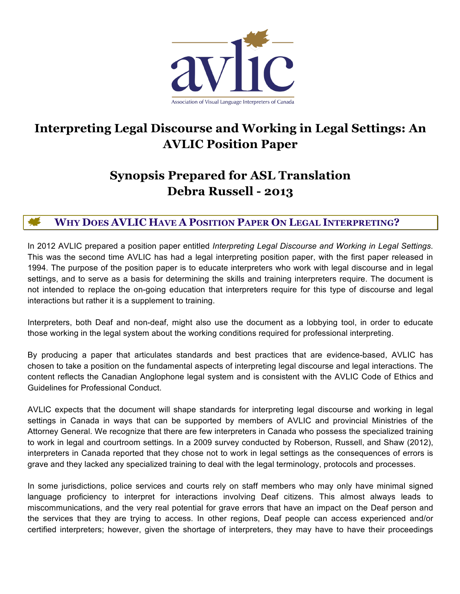

# **Interpreting Legal Discourse and Working in Legal Settings: An AVLIC Position Paper**

# **Synopsis Prepared for ASL Translation Debra Russell - 2013**

# **WHY DOES AVLIC HAVE A POSITION PAPER ON LEGAL INTERPRETING?**

In 2012 AVLIC prepared a position paper entitled *Interpreting Legal Discourse and Working in Legal Settings*. This was the second time AVLIC has had a legal interpreting position paper, with the first paper released in 1994. The purpose of the position paper is to educate interpreters who work with legal discourse and in legal settings, and to serve as a basis for determining the skills and training interpreters require. The document is not intended to replace the on-going education that interpreters require for this type of discourse and legal interactions but rather it is a supplement to training.

Interpreters, both Deaf and non-deaf, might also use the document as a lobbying tool, in order to educate those working in the legal system about the working conditions required for professional interpreting.

By producing a paper that articulates standards and best practices that are evidence-based, AVLIC has chosen to take a position on the fundamental aspects of interpreting legal discourse and legal interactions. The content reflects the Canadian Anglophone legal system and is consistent with the AVLIC Code of Ethics and Guidelines for Professional Conduct.

AVLIC expects that the document will shape standards for interpreting legal discourse and working in legal settings in Canada in ways that can be supported by members of AVLIC and provincial Ministries of the Attorney General. We recognize that there are few interpreters in Canada who possess the specialized training to work in legal and courtroom settings. In a 2009 survey conducted by Roberson, Russell, and Shaw (2012), interpreters in Canada reported that they chose not to work in legal settings as the consequences of errors is grave and they lacked any specialized training to deal with the legal terminology, protocols and processes.

In some jurisdictions, police services and courts rely on staff members who may only have minimal signed language proficiency to interpret for interactions involving Deaf citizens. This almost always leads to miscommunications, and the very real potential for grave errors that have an impact on the Deaf person and the services that they are trying to access. In other regions, Deaf people can access experienced and/or certified interpreters; however, given the shortage of interpreters, they may have to have their proceedings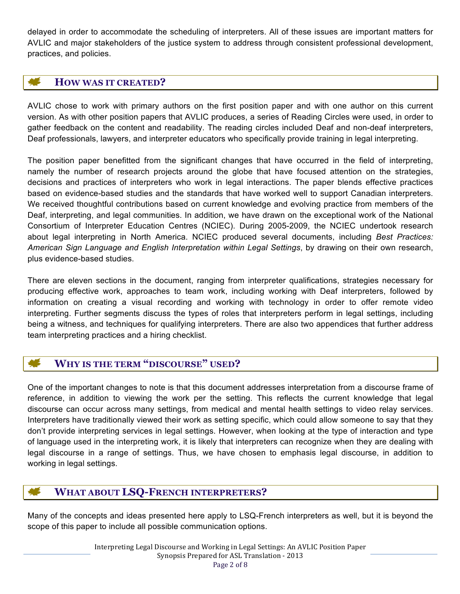delayed in order to accommodate the scheduling of interpreters. All of these issues are important matters for AVLIC and major stakeholders of the justice system to address through consistent professional development, practices, and policies.

# **HOW WAS IT CREATED?**

AVLIC chose to work with primary authors on the first position paper and with one author on this current version. As with other position papers that AVLIC produces, a series of Reading Circles were used, in order to gather feedback on the content and readability. The reading circles included Deaf and non-deaf interpreters, Deaf professionals, lawyers, and interpreter educators who specifically provide training in legal interpreting.

The position paper benefitted from the significant changes that have occurred in the field of interpreting, namely the number of research projects around the globe that have focused attention on the strategies, decisions and practices of interpreters who work in legal interactions. The paper blends effective practices based on evidence-based studies and the standards that have worked well to support Canadian interpreters. We received thoughtful contributions based on current knowledge and evolving practice from members of the Deaf, interpreting, and legal communities. In addition, we have drawn on the exceptional work of the National Consortium of Interpreter Education Centres (NCIEC). During 2005-2009, the NCIEC undertook research about legal interpreting in North America. NCIEC produced several documents, including *Best Practices: American Sign Language and English Interpretation within Legal Settings*, by drawing on their own research, plus evidence-based studies.

There are eleven sections in the document, ranging from interpreter qualifications, strategies necessary for producing effective work, approaches to team work, including working with Deaf interpreters, followed by information on creating a visual recording and working with technology in order to offer remote video interpreting. Further segments discuss the types of roles that interpreters perform in legal settings, including being a witness, and techniques for qualifying interpreters. There are also two appendices that further address team interpreting practices and a hiring checklist.

# **WHY IS THE TERM "DISCOURSE" USED?**

One of the important changes to note is that this document addresses interpretation from a discourse frame of reference, in addition to viewing the work per the setting. This reflects the current knowledge that legal discourse can occur across many settings, from medical and mental health settings to video relay services. Interpreters have traditionally viewed their work as setting specific, which could allow someone to say that they don't provide interpreting services in legal settings. However, when looking at the type of interaction and type of language used in the interpreting work, it is likely that interpreters can recognize when they are dealing with legal discourse in a range of settings. Thus, we have chosen to emphasis legal discourse, in addition to working in legal settings.

# **WHAT ABOUT LSQ-FRENCH INTERPRETERS?**

Many of the concepts and ideas presented here apply to LSQ-French interpreters as well, but it is beyond the scope of this paper to include all possible communication options.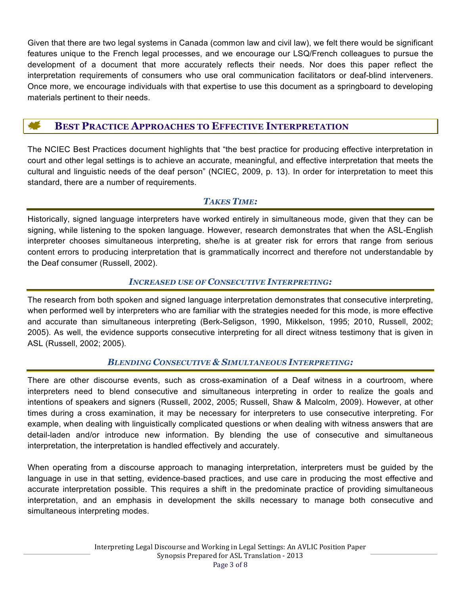Given that there are two legal systems in Canada (common law and civil law), we felt there would be significant features unique to the French legal processes, and we encourage our LSQ/French colleagues to pursue the development of a document that more accurately reflects their needs. Nor does this paper reflect the interpretation requirements of consumers who use oral communication facilitators or deaf-blind interveners. Once more, we encourage individuals with that expertise to use this document as a springboard to developing materials pertinent to their needs.

# **BEST PRACTICE APPROACHES TO EFFECTIVE INTERPRETATION**

The NCIEC Best Practices document highlights that "the best practice for producing effective interpretation in court and other legal settings is to achieve an accurate, meaningful, and effective interpretation that meets the cultural and linguistic needs of the deaf person" (NCIEC, 2009, p. 13). In order for interpretation to meet this standard, there are a number of requirements.

## *TAKES TIME:*

Historically, signed language interpreters have worked entirely in simultaneous mode, given that they can be signing, while listening to the spoken language. However, research demonstrates that when the ASL-English interpreter chooses simultaneous interpreting, she/he is at greater risk for errors that range from serious content errors to producing interpretation that is grammatically incorrect and therefore not understandable by the Deaf consumer (Russell, 2002).

## *INCREASED USE OF CONSECUTIVE INTERPRETING:*

The research from both spoken and signed language interpretation demonstrates that consecutive interpreting, when performed well by interpreters who are familiar with the strategies needed for this mode, is more effective and accurate than simultaneous interpreting (Berk-Seligson, 1990, Mikkelson, 1995; 2010, Russell, 2002; 2005). As well, the evidence supports consecutive interpreting for all direct witness testimony that is given in ASL (Russell, 2002; 2005).

## *BLENDING CONSECUTIVE & SIMULTANEOUS INTERPRETING:*

There are other discourse events, such as cross-examination of a Deaf witness in a courtroom, where interpreters need to blend consecutive and simultaneous interpreting in order to realize the goals and intentions of speakers and signers (Russell, 2002, 2005; Russell, Shaw & Malcolm, 2009). However, at other times during a cross examination, it may be necessary for interpreters to use consecutive interpreting. For example, when dealing with linguistically complicated questions or when dealing with witness answers that are detail-laden and/or introduce new information. By blending the use of consecutive and simultaneous interpretation, the interpretation is handled effectively and accurately.

When operating from a discourse approach to managing interpretation, interpreters must be guided by the language in use in that setting, evidence-based practices, and use care in producing the most effective and accurate interpretation possible. This requires a shift in the predominate practice of providing simultaneous interpretation, and an emphasis in development the skills necessary to manage both consecutive and simultaneous interpreting modes.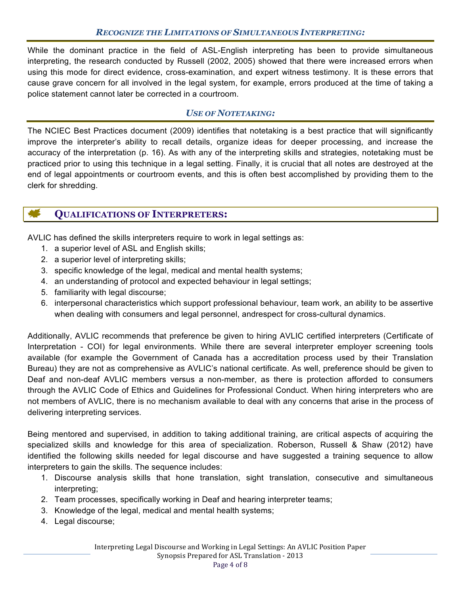#### *RECOGNIZE THE LIMITATIONS OF SIMULTANEOUS INTERPRETING:*

While the dominant practice in the field of ASL-English interpreting has been to provide simultaneous interpreting, the research conducted by Russell (2002, 2005) showed that there were increased errors when using this mode for direct evidence, cross-examination, and expert witness testimony. It is these errors that cause grave concern for all involved in the legal system, for example, errors produced at the time of taking a police statement cannot later be corrected in a courtroom.

#### *USE OF NOTETAKING:*

The NCIEC Best Practices document (2009) identifies that notetaking is a best practice that will significantly improve the interpreter's ability to recall details, organize ideas for deeper processing, and increase the accuracy of the interpretation (p. 16). As with any of the interpreting skills and strategies, notetaking must be practiced prior to using this technique in a legal setting. Finally, it is crucial that all notes are destroyed at the end of legal appointments or courtroom events, and this is often best accomplished by providing them to the clerk for shredding.

## **QUALIFICATIONS OF INTERPRETERS:**

AVLIC has defined the skills interpreters require to work in legal settings as:

- 1. a superior level of ASL and English skills;
- 2. a superior level of interpreting skills;
- 3. specific knowledge of the legal, medical and mental health systems;
- 4. an understanding of protocol and expected behaviour in legal settings;
- 5. familiarity with legal discourse;
- 6. interpersonal characteristics which support professional behaviour, team work, an ability to be assertive when dealing with consumers and legal personnel, andrespect for cross-cultural dynamics.

Additionally, AVLIC recommends that preference be given to hiring AVLIC certified interpreters (Certificate of Interpretation - COI) for legal environments. While there are several interpreter employer screening tools available (for example the Government of Canada has a accreditation process used by their Translation Bureau) they are not as comprehensive as AVLIC's national certificate. As well, preference should be given to Deaf and non-deaf AVLIC members versus a non-member, as there is protection afforded to consumers through the AVLIC Code of Ethics and Guidelines for Professional Conduct. When hiring interpreters who are not members of AVLIC, there is no mechanism available to deal with any concerns that arise in the process of delivering interpreting services.

Being mentored and supervised, in addition to taking additional training, are critical aspects of acquiring the specialized skills and knowledge for this area of specialization. Roberson, Russell & Shaw (2012) have identified the following skills needed for legal discourse and have suggested a training sequence to allow interpreters to gain the skills. The sequence includes:

- 1. Discourse analysis skills that hone translation, sight translation, consecutive and simultaneous interpreting;
- 2. Team processes, specifically working in Deaf and hearing interpreter teams;
- 3. Knowledge of the legal, medical and mental health systems;
- 4. Legal discourse;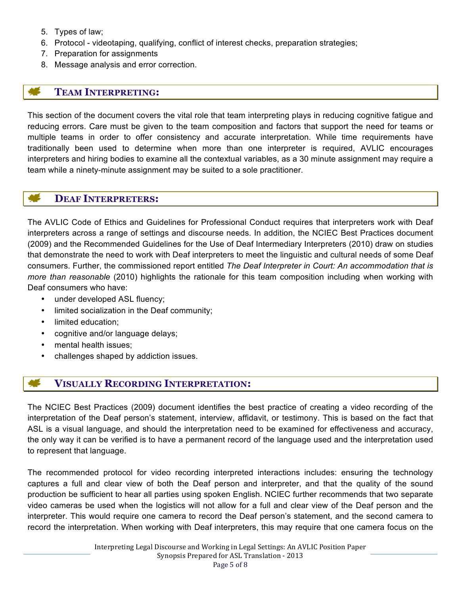- 5. Types of law;
- 6. Protocol videotaping, qualifying, conflict of interest checks, preparation strategies;
- 7. Preparation for assignments
- 8. Message analysis and error correction.

## **TEAM INTERPRETING:**

This section of the document covers the vital role that team interpreting plays in reducing cognitive fatigue and reducing errors. Care must be given to the team composition and factors that support the need for teams or multiple teams in order to offer consistency and accurate interpretation. While time requirements have traditionally been used to determine when more than one interpreter is required, AVLIC encourages interpreters and hiring bodies to examine all the contextual variables, as a 30 minute assignment may require a team while a ninety-minute assignment may be suited to a sole practitioner.

#### **DEAF INTERPRETERS:**

The AVLIC Code of Ethics and Guidelines for Professional Conduct requires that interpreters work with Deaf interpreters across a range of settings and discourse needs. In addition, the NCIEC Best Practices document (2009) and the Recommended Guidelines for the Use of Deaf Intermediary Interpreters (2010) draw on studies that demonstrate the need to work with Deaf interpreters to meet the linguistic and cultural needs of some Deaf consumers. Further, the commissioned report entitled *The Deaf Interpreter in Court: An accommodation that is more than reasonable* (2010) highlights the rationale for this team composition including when working with Deaf consumers who have:

- under developed ASL fluency;
- limited socialization in the Deaf community;
- limited education;
- cognitive and/or language delays;
- mental health issues:
- challenges shaped by addiction issues.

## **VISUALLY RECORDING INTERPRETATION:**

The NCIEC Best Practices (2009) document identifies the best practice of creating a video recording of the interpretation of the Deaf person's statement, interview, affidavit, or testimony. This is based on the fact that ASL is a visual language, and should the interpretation need to be examined for effectiveness and accuracy, the only way it can be verified is to have a permanent record of the language used and the interpretation used to represent that language.

The recommended protocol for video recording interpreted interactions includes: ensuring the technology captures a full and clear view of both the Deaf person and interpreter, and that the quality of the sound production be sufficient to hear all parties using spoken English. NCIEC further recommends that two separate video cameras be used when the logistics will not allow for a full and clear view of the Deaf person and the interpreter. This would require one camera to record the Deaf person's statement, and the second camera to record the interpretation. When working with Deaf interpreters, this may require that one camera focus on the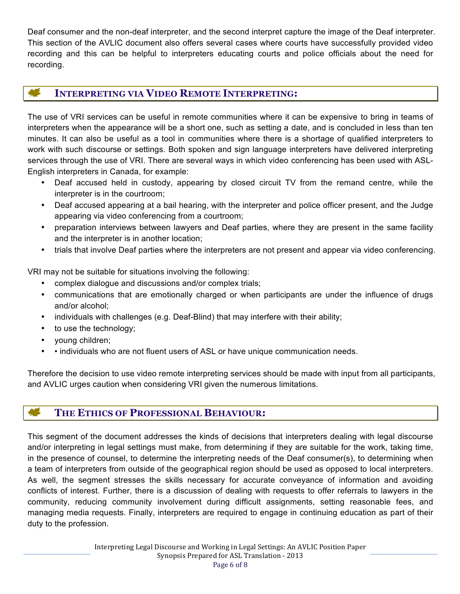Deaf consumer and the non-deaf interpreter, and the second interpret capture the image of the Deaf interpreter. This section of the AVLIC document also offers several cases where courts have successfully provided video recording and this can be helpful to interpreters educating courts and police officials about the need for recording.

# **INTERPRETING VIA VIDEO REMOTE INTERPRETING:**

The use of VRI services can be useful in remote communities where it can be expensive to bring in teams of interpreters when the appearance will be a short one, such as setting a date, and is concluded in less than ten minutes. It can also be useful as a tool in communities where there is a shortage of qualified interpreters to work with such discourse or settings. Both spoken and sign language interpreters have delivered interpreting services through the use of VRI. There are several ways in which video conferencing has been used with ASL-English interpreters in Canada, for example:

- Deaf accused held in custody, appearing by closed circuit TV from the remand centre, while the interpreter is in the courtroom;
- Deaf accused appearing at a bail hearing, with the interpreter and police officer present, and the Judge appearing via video conferencing from a courtroom;
- preparation interviews between lawyers and Deaf parties, where they are present in the same facility and the interpreter is in another location;
- trials that involve Deaf parties where the interpreters are not present and appear via video conferencing.

VRI may not be suitable for situations involving the following:

- complex dialogue and discussions and/or complex trials;
- communications that are emotionally charged or when participants are under the influence of drugs and/or alcohol;
- individuals with challenges (e.g. Deaf-Blind) that may interfere with their ability;
- to use the technology;
- young children;
- • individuals who are not fluent users of ASL or have unique communication needs.

Therefore the decision to use video remote interpreting services should be made with input from all participants, and AVLIC urges caution when considering VRI given the numerous limitations.

# **THE ETHICS OF PROFESSIONAL BEHAVIOUR:**

This segment of the document addresses the kinds of decisions that interpreters dealing with legal discourse and/or interpreting in legal settings must make, from determining if they are suitable for the work, taking time, in the presence of counsel, to determine the interpreting needs of the Deaf consumer(s), to determining when a team of interpreters from outside of the geographical region should be used as opposed to local interpreters. As well, the segment stresses the skills necessary for accurate conveyance of information and avoiding conflicts of interest. Further, there is a discussion of dealing with requests to offer referrals to lawyers in the community, reducing community involvement during difficult assignments, setting reasonable fees, and managing media requests. Finally, interpreters are required to engage in continuing education as part of their duty to the profession.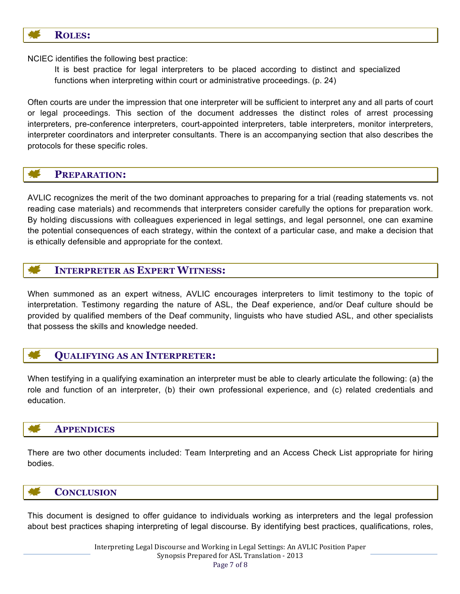

NCIEC identifies the following best practice:

It is best practice for legal interpreters to be placed according to distinct and specialized functions when interpreting within court or administrative proceedings. (p. 24)

Often courts are under the impression that one interpreter will be sufficient to interpret any and all parts of court or legal proceedings. This section of the document addresses the distinct roles of arrest processing interpreters, pre-conference interpreters, court-appointed interpreters, table interpreters, monitor interpreters, interpreter coordinators and interpreter consultants. There is an accompanying section that also describes the protocols for these specific roles.

## **PREPARATION:**

AVLIC recognizes the merit of the two dominant approaches to preparing for a trial (reading statements vs. not reading case materials) and recommends that interpreters consider carefully the options for preparation work. By holding discussions with colleagues experienced in legal settings, and legal personnel, one can examine the potential consequences of each strategy, within the context of a particular case, and make a decision that is ethically defensible and appropriate for the context.

## **INTERPRETER AS EXPERT WITNESS:**

When summoned as an expert witness, AVLIC encourages interpreters to limit testimony to the topic of interpretation. Testimony regarding the nature of ASL, the Deaf experience, and/or Deaf culture should be provided by qualified members of the Deaf community, linguists who have studied ASL, and other specialists that possess the skills and knowledge needed.

## **QUALIFYING AS AN INTERPRETER:**

When testifying in a qualifying examination an interpreter must be able to clearly articulate the following: (a) the role and function of an interpreter, (b) their own professional experience, and (c) related credentials and education.

#### **APPENDICES**

There are two other documents included: Team Interpreting and an Access Check List appropriate for hiring bodies.

#### **CONCLUSION**

This document is designed to offer guidance to individuals working as interpreters and the legal profession about best practices shaping interpreting of legal discourse. By identifying best practices, qualifications, roles,